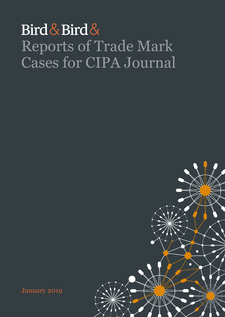# Bird & Bird & Reports of Trade Mark Cases for CIPA Journal



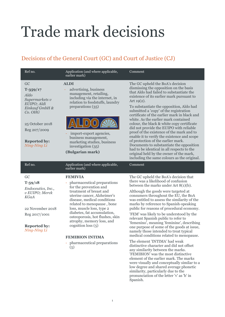# Trade mark decisions

## Decisions of the General Court (GC) and Court of Justice (CJ)

| Ref no.                                                                                                                                                            | Application (and where applicable,<br>earlier mark)                                                                                                                                                                                                                                                                                                                                                                | Comment                                                                                                                                                                                                                                                                                                                                                                                                                                                                                                                                                                                                                                                                                                                                                                                                                                                                                                                                               |
|--------------------------------------------------------------------------------------------------------------------------------------------------------------------|--------------------------------------------------------------------------------------------------------------------------------------------------------------------------------------------------------------------------------------------------------------------------------------------------------------------------------------------------------------------------------------------------------------------|-------------------------------------------------------------------------------------------------------------------------------------------------------------------------------------------------------------------------------------------------------------------------------------------------------------------------------------------------------------------------------------------------------------------------------------------------------------------------------------------------------------------------------------------------------------------------------------------------------------------------------------------------------------------------------------------------------------------------------------------------------------------------------------------------------------------------------------------------------------------------------------------------------------------------------------------------------|
| GC<br>$T - 359/17$<br>Aldo<br>Supermarkets v<br>EUIPO; Aldi<br>Einkauf GmbH &<br>Co. OHG<br>25 October 2018<br>Reg 207/2009<br><b>Reported by:</b><br>Ning-Ning Li | <b>ALDI</b><br>advertising, business<br>management, retailing,<br>including via the internet, in<br>relation to foodstuffs, laundry<br>preparations (35)<br>import-export agencies,<br>business management,<br>marketing studies, business<br>investigation (35)<br>(Bulgarian mark)                                                                                                                               | The GC upheld the BoA's decision<br>dismissing the opposition on the basis<br>that Aldo had failed to substantiate the<br>existence of its earlier mark pursuant to<br>Art $19(2)$ .<br>To substantiate the opposition, Aldo had<br>submitted a 'copy' of the registration<br>certificate of the earlier mark in black and<br>white. As the earlier mark contained<br>colour, the black & white copy certificate<br>did not provide the EUIPO with reliable<br>proof of the existence of the mark and to<br>enable it to verify the existence and scope<br>of protection of the earlier mark.<br>Documents to substantiate the opposition<br>had to be identical in all respects to the<br>original held by the owner of the mark,<br>including the same colours as the original.                                                                                                                                                                     |
| Ref no.                                                                                                                                                            | Application (and where applicable,<br>earlier mark)                                                                                                                                                                                                                                                                                                                                                                | Comment                                                                                                                                                                                                                                                                                                                                                                                                                                                                                                                                                                                                                                                                                                                                                                                                                                                                                                                                               |
| GC<br>$T - 59/18$<br>Endoceutics, Inc.,<br>$v$ EUIPO; Merck<br>KGaA<br>22 November 2018<br>Reg 2017/1001<br><b>Reported by:</b><br>Ning-Ning Li                    | <b>FEMIVIA</b><br>pharmaceutical preparations<br>for the prevention and<br>treatment of breast and<br>uterine cancer, Alzheimer's<br>disease, medical conditions<br>related to menopause, bone<br>loss, muscle loss, type 2<br>diabetes, fat accumulation,<br>osteoporosis, hot flushes, skin<br>atrophy, memory loss, and<br>cognition loss $(5)$<br><b>FEMIBION INTIMA</b><br>pharmaceutical preparations<br>(5) | The GC upheld the BoA's decision that<br>there was a likelihood of confusion<br>between the marks under Art $8(1)(b)$ .<br>Although the goods were targeted at<br>consumers throughout the EU, the BoA<br>was entitled to assess the similarity of the<br>marks by reference to Spanish-speaking<br>public for reasons of procedural economy.<br>'FEM' was likely to be understood by the<br>relevant Spanish public to refer to<br>'femenino', meaning 'feminine', describing<br>one purpose of some of the goods at issue,<br>namely those intended to treat typical<br>medical conditions related to menopause.<br>The element 'INTIMA' had weak<br>distinctive character and did not offset<br>any similarity between the marks.<br>'FEMIBION' was the most distinctive<br>element of the earlier mark. The marks<br>were visually and conceptually similar to a<br>low degree and shared average phonetic<br>similarity, particularly due to the |

pronunciation of the letter 'v' as 'b' in

Spanish.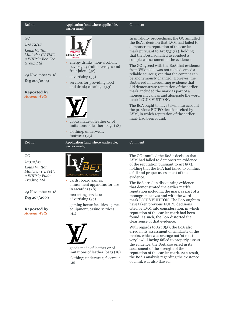#### Ref no.  $\qquad \qquad \text{Application (and where applicable,}$ earlier mark)

#### GC

#### **T**‑**372/17**

*Louis Vuitton Malletier ("LVM") v EUIPO; Bee-Fee Group Ltd*

29 November 2018 Reg 207/2009

#### **Reported by:**  *Adeena Wells*



- energy drinks; non-alcoholic beverages; fruit beverages and fruit juices (32)
- advertising (35)
- services for providing food and drink; catering (43)



earlier mark)

- goods made of leather or of imitations of leather; bags (18)
- clothing, underwear, footwear (25)

Ref no.  $\qquad \qquad \text{Application (and where applicable,}$ 

## G<sub>C</sub>

**T-373/17** *Louis Vuitton Malletier ("LVM") v EUIPO; Fulia Trading Ltd* 

29 November 2018 Reg 207/2009

**Reported by:** *Adeena Wells* 



- cards; board games; amusement apparatus for use in arcardes (28)
- marketing services: advertising (35)
- gaming house facilities, games equipment, casino services (41)



- goods made of leather or of imitations of leather; bags (18)
- clothing; underwear; footwear (25)

In invalidity proceedings, the GC annulled the BoA's decision that LVM had failed to demonstrate reputation of the earlier mark pursuant to Art  $53(1)(a)$ , holding that the BoA had failed to conduct a complete assessment of the evidence.

The GC agreed with the BoA that evidence from Wikipedia was not to be deemed a reliable source given that the content can be anonymously changed. However, the BoA erred in discounting evidence that did demonstrate reputation of the earlier mark, included the mark as part of a monogram canvas and alongside the word mark LOUIS VUITTON.

The BoA ought to have taken into account the previous EUIPO decisions cited by LVM, in which reputation of the earlier mark had been found.

#### Comment

The GC annulled the BoA's decision that LVM had failed to demonstrate evidence of the reputation pursuant to Art  $8(5)$ , holding that the BoA had failed to conduct a full and proper assessment of the evidence.

The BoA erred in discounting evidence that demonstrated the earlier mark's reputation including the mark as part of a monogram canvas and with the word mark LOUIS VUITTON. The BoA ought to have taken previous EUIPO decisions cited by LVM into consideration, in which reputation of the earlier mark had been found. As such, the BoA distorted the clear sense of that evidence.

With regards to Art 8(5), the BoA also erred in its assessment of similarity of the marks, which was average not 'at most very low'. Having failed to properly assess the evidence, the BoA also erred in its assessment of the strength of the reputation of the earlier mark. As a result, the BoA's analysis regarding the existence of a link was also flawed.

#### Comment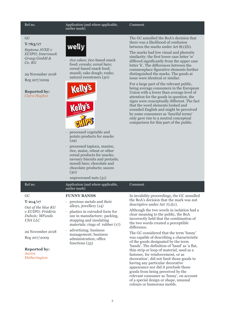Ref no.  $\qquad \qquad \text{Application (and where applicable,}$ earlier mark)

### Comment

GC **T‑763/17**

*Septona AVEE v EUIPO; Intersnack Group GmbH & Co. KG*

## 29 November 2018

Reg 207/2009

#### **Reported by:** *Ciara Hughes*



rice cakes; rice-based snack food; cereals; cereal bars; cereal-based snack food; muesli; cake dough; rusks; natural sweeteners (30)





- processed vegetable and potato products for snacks (29)
- processed tapioca, manioc, rice, maize, wheat or other cereal products for snacks; savoury biscuits and pretzels; muesli bars; chocolate and chocolate products; sauces (30)

The GC annulled the BoA's decision that there was a likelihood of confusion between the marks under Art 8(1)(b).

The marks had low visual and phonetic similarity: the first lower case letter 'w' differed significantly from the upper case letter 'k'. The differences between the commonplace figurative elements further distinguished the marks. The goods at issue were identical or similar.

For a large part of the relevant public, being average consumers in the European Union with a lower than average level of attention for the goods in question, the signs were conceptually different. The fact that the word elements looked and sounded English and might be perceived by some consumers as 'fanciful terms' only gave rise to a neutral conceptual comparison for this part of the public.

|                                                                                                                                                                                       | unprocessed nuts (31)                                                                                                                                                                                                                                                                                         |                                                                                                                                                                                                                                                                                                                                                                                                                                                                                                                                                                                                                                                                                                                                                                                                                                                                          |
|---------------------------------------------------------------------------------------------------------------------------------------------------------------------------------------|---------------------------------------------------------------------------------------------------------------------------------------------------------------------------------------------------------------------------------------------------------------------------------------------------------------|--------------------------------------------------------------------------------------------------------------------------------------------------------------------------------------------------------------------------------------------------------------------------------------------------------------------------------------------------------------------------------------------------------------------------------------------------------------------------------------------------------------------------------------------------------------------------------------------------------------------------------------------------------------------------------------------------------------------------------------------------------------------------------------------------------------------------------------------------------------------------|
| Ref no.                                                                                                                                                                               | Application (and where applicable,<br>earlier mark)                                                                                                                                                                                                                                                           | Comment                                                                                                                                                                                                                                                                                                                                                                                                                                                                                                                                                                                                                                                                                                                                                                                                                                                                  |
| GC<br>$T - 214/17$<br>Out of the blue KG<br>v EUIPO; Frédéric<br>Dubois; MFunds<br><b>USA LLC</b><br>29 November 2018<br>Reg 207/2009<br><b>Reported by:</b><br>Aaron<br>Hetherington | <b>FUNNY BANDS</b><br>- precious metals and their<br>alloys, jewellery (14)<br>- plastics in extruded form for<br>use in manufacture; packing,<br>stopping and insulating<br>materials; rings of rubber $(17)$<br>advertising; business<br>management; business<br>administration; office<br>functions $(35)$ | In invalidity proceedings, the GC annulled<br>the BoA's decision that the mark was not<br>descriptive under Art $7(1)(c)$ .<br>Although the two words in isolation had a<br>clear meaning to the public, the BoA<br>incorrectly held that the combination of<br>the two words created a perceptible<br>difference.<br>The GC considered that the term 'funny'<br>was capable of describing a characteristic<br>of the goods designated by the term<br>'bands'. The definition of 'band' as 'a flat,<br>thin strip or loop of material, used as a<br>fastener, for reinforcement, or as<br>decoration', did not limit those goods to<br>having any particular decorative<br>appearance nor did it preclude those<br>goods from being perceived by the<br>relevant consumer as 'funny', on account<br>of a special design or shape, unusual<br>colours or humorous motifs. |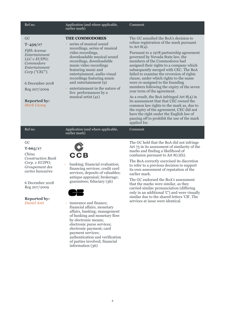| Ref no.                                                                                                                                                                                            | Application (and where applicable,<br>earlier mark)                                                                                                                                                                                                                                                                                                                                                                                                                                                               | Comment                                                                                                                                                                                                                                                                                                                                                                                                                                                                                                                                                                                                                                                                                                                                                                                                        |
|----------------------------------------------------------------------------------------------------------------------------------------------------------------------------------------------------|-------------------------------------------------------------------------------------------------------------------------------------------------------------------------------------------------------------------------------------------------------------------------------------------------------------------------------------------------------------------------------------------------------------------------------------------------------------------------------------------------------------------|----------------------------------------------------------------------------------------------------------------------------------------------------------------------------------------------------------------------------------------------------------------------------------------------------------------------------------------------------------------------------------------------------------------------------------------------------------------------------------------------------------------------------------------------------------------------------------------------------------------------------------------------------------------------------------------------------------------------------------------------------------------------------------------------------------------|
| GC<br>$T - 459/17$<br>Fifth Avenue<br>Entertainment<br>LLC v EUIPO;<br>Commodore<br>Entertainment<br>Corp ("CEC").<br>6 December 2018<br>Reg 207/2009<br><b>Reported by:</b><br><b>Mark Livsey</b> | <b>THE COMMODORES</b><br>series of musical sound<br>recordings, series of musical<br>video recordings,<br>downloadable musical sound<br>recordings, downloadable<br>music video recordings<br>featuring music and<br>entertainment, audio-visual<br>recordings featuring music<br>and entertainment (9)<br>entertainment in the nature of<br>live performances by a<br>musical artist (41)                                                                                                                        | The GC annulled the BoA's decision to<br>refuse registration of the mark pursuant<br>to Art $8(4)$ .<br>Pursuant to a 1978 partnership agreement<br>governed by Nevada State law, the<br>members of the Commodores had<br>assigned their rights to a company which<br>subsequently merged with CEC. The BoA<br>failed to examine the reversion of rights<br>clause, under which rights to the name<br>were re-assigned to the founding<br>members following the expiry of the seven<br>year term of the agreement.<br>As a result, the BoA infringed Art $8(4)$ in<br>its assessment that that CEC owned the<br>common law rights to the mark as, due to<br>the expiry of the agreement, CEC did not<br>have the right under the English law of<br>passing off to prohibit the use of the mark<br>applied for. |
| Ref no.                                                                                                                                                                                            | Application (and where applicable,<br>earlier mark)                                                                                                                                                                                                                                                                                                                                                                                                                                                               | Comment                                                                                                                                                                                                                                                                                                                                                                                                                                                                                                                                                                                                                                                                                                                                                                                                        |
| GC<br>$T - 665/17$<br>China<br><b>Construction Bank</b><br>Corp. v EUIPO;<br>Groupement des<br>cartes bancaires<br>6 December 2018<br>Reg 207/2009<br><b>Reported by:</b><br>Daniel Anti           | <b>CCB</b><br>banking; financial evaluation;<br>ä,<br>financing services; credit card<br>services; deposits of valuables;<br>antique appraisal; brokerage;<br>guarantees; fiduciary (36)<br>insurance and finance;<br>financial affairs, monetary<br>affairs, banking; management<br>of banking and monetary flow<br>by electronic means;<br>electronic purse services;<br>electronic payment; card<br>payment services;<br>authentication and verification<br>of parties involved; financial<br>information (36) | The GC held that the BoA did not infringe<br>Art 75 in its assessment of similarity of the<br>marks and finding a likelihood of<br>confusion pursuant to Art $8(1)(b)$ .<br>The BoA correctly exercised its discretion<br>to refer to a previous decision to support<br>its own assessment of reputation of the<br>earlier mark.<br>The GC endorsed the BoA's assessment<br>that the marks were similar, as they<br>carried similar pronunciation (differing<br>only in an additional 'C') and were visually<br>similar due to the shared letters 'CB'. The<br>services at issue were identical.                                                                                                                                                                                                               |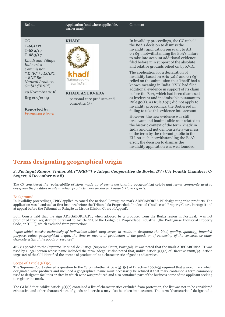GC

Ref no.  $\qquad \qquad \text{Application (and where applicable,}$ Comment earlier mark) **KHADI**  In invalidity proceedings, the GC upheld the BoA's decision to dismiss the **T-681/17** invalidity application pursuant to Art **T-682/17**  $7(1)(g)$ , notwithstanding the BoA's failure **T-683/17** to take into account additional evidence *Khadi and Village*  filed before it in support of the absolute *Industries*  and relative grounds relied on by KVIC. *Commission*  The application for a declaration of *(*"*KVIC*"*) v EUIPO*  invalidity based on Arts  $52(1)$  and  $7(1)(g)$ *– BNP Best*  Naturprodukte relied on the submission that 'khadi' had a *Natural Products*  aus Indien known meaning in India. KVIC had filed *GmbH (*"*BNP*"*)* additional evidence in support of its claim **KHADI AYURVEDA**  before the BoA, which had been dismissed as irrelevant and inadmissible pursuant to - personal care products and Rule  $50(1)$ . As Rule  $50(1)$  did not apply to cosmetics (3) invalidity proceedings, the BoA erred in failing to take this evidence into account. However, the new evidence was still irrelevant and inadmissible as it related to the historic context of the term 'khadi' in India and did not demonstrate awareness of the term by the relevant public in the

## **Terms designating geographical origin**

#### *J. Portugal Ramos Vinhos SA ("JPRV") v Adega Cooperative de Borba BV* **(CJ; Fourth Chamber; C-629/17; 6 December 2018)**

EU. As such, notwithstanding the BoA's error, the decision to dismiss the invalidity application was well founded.

*The CJ considered the registrability of signs made up of terms designating geographical origin and terms commonly used to designate the facilities or site in which products were produced. Louise O'Hara reports.*

#### Background

In invalidity proceedings, JPRV applied to cancel the national Portuguese mark ADEGABORBA.PT designating wine products. The application was dismissed at first instance before the Tribunal da Propriedade Intelectual (Intellectual Property Court, Portugal) and at appeal before the Tribunal da Relação de Lisboa (Lisbon Court of Appeal).

Both Courts held that the sign ADEGABORBA.PT, when adopted by a producer from the Borba region in Portugal, was not prohibited from registration pursuant to Article 223 of the Código da Propriedade Industrial (the Portuguese Industrial Property Code, or "CPI"), which excluded from protection:

*"signs which consist exclusively of indications which may serve, in trade, to designate the kind, quality, quantity, intended purpose, value, geographical origin, the time or means of production of the goods or of rendering of the services, or other characteristics of the goods or services"*

JPRV appealed to the Supremo Tribunal de Justiça (Supreme Court, Portugal). It was noted that the mark ADEGABORBA.PT was used by a legal person whose name included the term 'adega'. It also noted that, unlike Article 3(1)(c) of Directive 2008/95, Article 223(1)(c) of the CPI identified the 'means of production' as a characteristic of goods and services.

#### Scope of Article 3(1)(c)

The Supreme Court referred a question to the CJ on whether Article 3(1)(c) of Directive 2008/95 required that a word mark which designated wine products and included a geographical name must necessarily be refused if that mark contained a term commonly used to designate facilities or sites in which wine was produced and also contained part of the business name of the applicant seeking to register the mark.

The CJ held that, whilst Article 3(1)(c) contained a list of characteristics excluded from protection, the list was not to be considered exhaustive and other characteristics of goods and services may also be taken into account. The term 'characteristic' designated a

## 29 November 2018

Reg 207/2009

**Reported by:** *Francesca Rivers*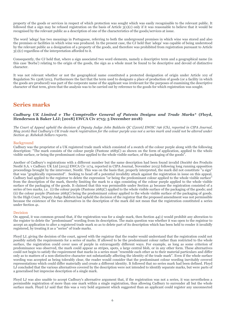property of the goods or services in respect of which protection was sought which was easily recognisable to the relevant public. It followed that a sign may be refused registration on the basis of Article  $3(1)(c)$  only if it was reasonable to believe that it would be recognised by the relevant public as a description of one of the characteristics of the goods/services at issue.

The word 'adega' has two meanings in Portuguese, referring to both the underground premises in which wine was stored and also the premises or facilities in which wine was produced. In the present case, the CJ held that 'adega' was capable of being understood by the relevant public as a designation of a property of the goods, and therefore was prohibited from registration pursuant to Article  $3(1)(c)$  regardless of the interpretation afforded to it.

Consequently, the CJ held that, where a sign associated two word elements, namely a descriptive term and a geographical name (in this case 'Borba') relating to the origin of the goods, the sign as a whole must be found to be descriptive and devoid of distinctive character.

It was not relevant whether or not the geographical name constituted a protected designation of origin under Article 102 of Regulation No 1308/2013. Furthermore the fact that the term used to designate a place of production of goods (or a facility in which the goods are produced) was part of the corporate name of the applicant was irrelevant for the purposes of examining the descriptive character of that term, given that the analysis was to be carried out by reference to the goods for which registration was sought.

## **Series marks**

### *Cadbury UK Limited v The Comptroller General of Patents Designs and Trade Marks\** **(Floyd, Henderson & Baker LJJ; [2018] EWCA Civ 2715; 5 December 2018)**

*The Court of Appeal upheld the decision of Deputy Judge John Baldwin QC ([2016] EWHC 796 (Ch), reported in CIPA Journal, May 2016) that Cadbury's UK trade mark registration for the colour purple was not a series mark and could not be altered under Section 41. Rebekah Sellars reports.*

### Background

Cadbury was the proprietor of a UK registered trade mark which consisted of a swatch of the colour purple along with the following description: "The mark consists of the colour purple (Pantone 2685C) as shown on the form of application, applied to the whole visible surface, or being the predominant colour applied to the whole visible surface, of the packaging of the goods".

Another of Cadbury's registrations with a different number but the same description had been found invalid (Société des Produits Nestlé S.A. v Cadbury UK Ltd [2013] EWCA Civ 1174, reported in CIPA Journal, November 2013) following long running opposition proceedings brought by the intervener, Nestlé. This was on the basis that, properly interpreted, the mark did not constitute "a sign" that was "graphically represented". Seeking to head off a potential invalidity attack against the registration in issue on this appeal, Cadbury had applied to the registrar to delete the expression "or being the predominant colour applied to the whole visible surface" from the description of the mark, thereby limiting the mark to a sign consisting of the colour purple applied to the whole visible surface of the packaging of the goods. It claimed that this was permissible under Section 41 because the registration consisted of a series of two marks, i.e. (i) the colour purple (Pantone 2685C) applied to the whole visible surface of the packaging of the goods; and (ii) the colour purple (Pantone 2685C) being the predominant colour applied to the whole visible surface of the packaging of goods. In the High Court, Deputy Judge Baldwin had upheld the decision of the registrar that the proposed amendment was not permissible because the existence of the two alternatives in the description of the mark did not mean that the registration constituted a series under Section 41.

#### Decision

On appeal, it was common ground that, if the registration was for a single mark, then Section  $44(1)$  would prohibit any alteration to the register to delete the "predominant" wording from its description. The main question was whether it was open to the registrar to accept an application to alter a registered trade mark so as to delete part of its description which has been held to render it invalidly registered, by treating it as a "series" of trade marks.

Floyd LJ, giving the decision of the court, agreed with the registrar that the reader would understand that the registration could not possibly satisfy the requirements for a series of marks. If allowed to be the predominant colour rather than restricted to the whole surface, the registration could cover uses of purple in extravagantly different ways. For example, as long as some criterion of predominance was observed, the mark could appear as stripes, spots, a large central blob, or in any other form. These alternatives could not begin to satisfy the requirement that marks in a series must "resemble each other as to their material particulars and differ only as to matters of a non-distinctive character not substantially affecting the identity of the trade mark". Even if the whole surface wording was accepted as being tolerably clear, the reader would consider that the predominant colour wording inevitably covered representations which could differ materially and create a different identity. It followed that no series mark had been defined. Floyd LJ concluded that the various alternatives covered by the description were not intended to identify separate marks, but were parts of a generalised but imprecise description of a single mark.

Floyd LJ was also unable to accept Cadbury's alternative argument that, if the registration was not a series, it was nevertheless a permissible registration of more than one mark within a single registration, thus allowing Cadbury to surrender all but the whole surface mark. Floyd LJ said that this was a very bold argument which suggested than an applicant could register any unconnected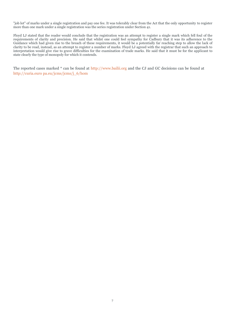"job lot" of marks under a single registration and pay one fee. It was tolerably clear from the Act that the only opportunity to register more than one mark under a single registration was the series registration under Section 41.

Floyd LJ stated that the reader would conclude that the registration was an attempt to register a single mark which fell foul of the requirements of clarity and precision. He said that whilst one could feel sympathy for Cadbury that it was its adherence to the Guidance which had given rise to the breach of these requirements, it would be a potentially far reaching step to allow the lack of clarity to be read, instead, as an attempt to register a number of marks. Floyd LJ agreed with the registrar that such an approach to interpretation would give rise to grave difficulties for the examination of trade marks. He said that it must be for the applicant to state clearly the type of monopoly for which it contends.

The reported cases marked \* can be found at http://www.bailii.org and the CJ and GC decisions can be found at http://curia.euro pa.eu/jcms/jcms/j\_6/hom